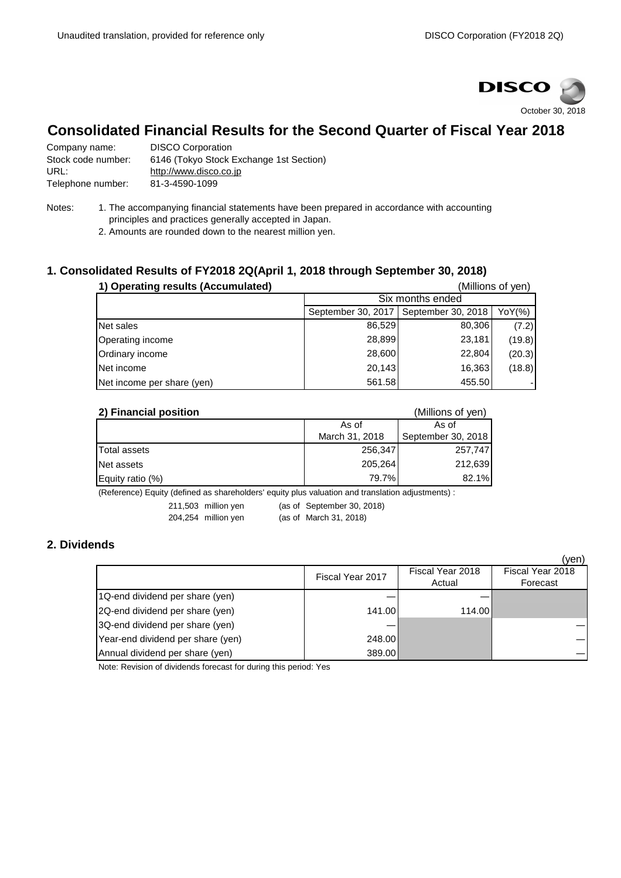

## **Consolidated Financial Results for the Second Quarter of Fiscal Year 2018**

| Company name:      | <b>DISCO Corporation</b>                |
|--------------------|-----------------------------------------|
| Stock code number: | 6146 (Tokyo Stock Exchange 1st Section) |
| URL:               | http://www.disco.co.jp                  |
| Telephone number:  | 81-3-4590-1099                          |

- Notes: 1. The accompanying financial statements have been prepared in accordance with accounting principles and practices generally accepted in Japan.
	- 2. Amounts are rounded down to the nearest million yen.

## **1. Consolidated Results of FY2018 2Q(April 1, 2018 through September 30, 2018)**

| 1) Operating results (Accumulated) |                                          |                  | (Millions of yen) |  |
|------------------------------------|------------------------------------------|------------------|-------------------|--|
|                                    |                                          | Six months ended |                   |  |
|                                    | September 30, 2018<br>September 30, 2017 | YoY(%)           |                   |  |
| Net sales                          | 86,529                                   | 80,306           | (7.2)             |  |
| Operating income                   | 28,899                                   | 23,181           | (19.8)            |  |
| Ordinary income                    | 28,600                                   | 22,804           | (20.3)            |  |
| Net income                         | 20,143                                   | 16,363           | (18.8)            |  |
| Net income per share (yen)         | 561.58                                   | 455.50           |                   |  |

| 2) Financial position | (Millions of yen) |                    |  |
|-----------------------|-------------------|--------------------|--|
|                       | As of             | As of              |  |
|                       | March 31, 2018    | September 30, 2018 |  |
| Total assets          | 256,347           | 257,747            |  |
| Net assets            | 205,264           | 212,639            |  |
| Equity ratio $(\%)$   | 79.7%             | 82.1%              |  |

(Reference) Equity (defined as shareholders' equity plus valuation and translation adjustments) :

211,503 million yen (as of September 30, 2018)

204,254 million yen (as of March 31, 2018)

## **2. Dividends**

|                                   |                  |                            | (ven)                        |
|-----------------------------------|------------------|----------------------------|------------------------------|
|                                   | Fiscal Year 2017 | Fiscal Year 2018<br>Actual | Fiscal Year 2018<br>Forecast |
| 1Q-end dividend per share (yen)   |                  |                            |                              |
| 2Q-end dividend per share (yen)   | 141.00           | 114.00                     |                              |
| 3Q-end dividend per share (yen)   |                  |                            |                              |
| Year-end dividend per share (yen) | 248.00           |                            |                              |
| Annual dividend per share (yen)   | 389.00           |                            |                              |

Note: Revision of dividends forecast for during this period: Yes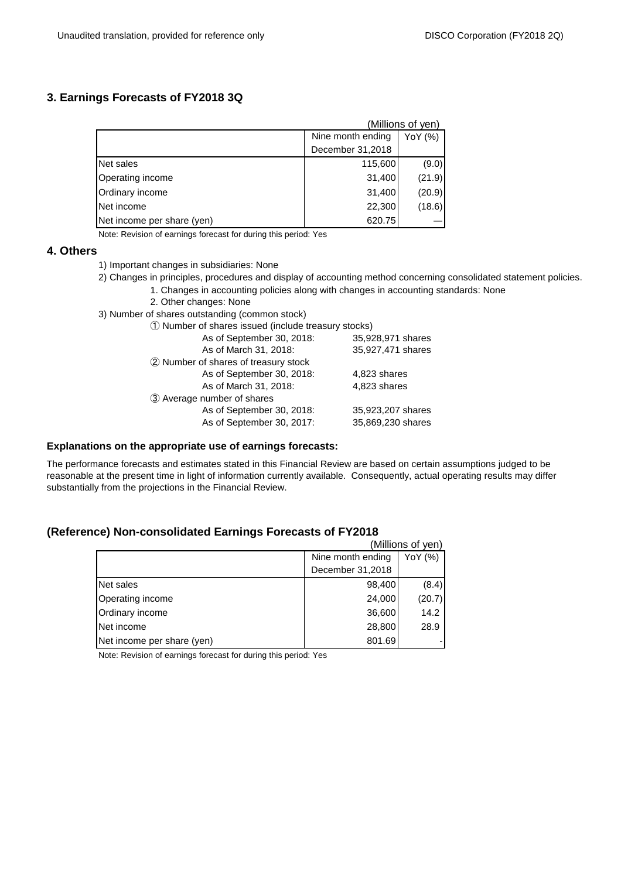## **3. Earnings Forecasts of FY2018 3Q**

|                            |                   | (Millions of yen) |
|----------------------------|-------------------|-------------------|
|                            | Nine month ending | YoY (%)           |
|                            | December 31,2018  |                   |
| Net sales                  | 115,600           | (9.0)             |
| Operating income           | 31,400            | (21.9)            |
| Ordinary income            | 31,400            | (20.9)            |
| Net income                 | 22,300            | (18.6)            |
| Net income per share (yen) | 620.75            |                   |

Note: Revision of earnings forecast for during this period: Yes

#### **4. Others**

- 1) Important changes in subsidiaries: None
- 2) Changes in principles, procedures and display of accounting method concerning consolidated statement policies.
	- 1. Changes in accounting policies along with changes in accounting standards: None
	- 2. Other changes: None
- 3) Number of shares outstanding (common stock)
	- ① Number of shares issued (include treasury stocks)

| As of September 30, 2018:            | 35,928,971 shares |
|--------------------------------------|-------------------|
| As of March 31, 2018:                | 35,927,471 shares |
| 2 Number of shares of treasury stock |                   |
| As of September 30, 2018:            | 4,823 shares      |
| As of March 31, 2018:                | 4,823 shares      |
| 3 Average number of shares           |                   |
| As of September 30, 2018:            | 35,923,207 shares |
| As of September 30, 2017:            | 35,869,230 shares |
|                                      |                   |

#### **Explanations on the appropriate use of earnings forecasts:**

The performance forecasts and estimates stated in this Financial Review are based on certain assumptions judged to be reasonable at the present time in light of information currently available. Consequently, actual operating results may differ substantially from the projections in the Financial Review.

### **(Reference) Non-consolidated Earnings Forecasts of FY2018**

|                            |                   | (Millions of yen) |
|----------------------------|-------------------|-------------------|
|                            | Nine month ending | YoY (%)           |
|                            | December 31,2018  |                   |
| Net sales                  | 98,400            | (8.4)             |
| Operating income           | 24,000            | (20.7)            |
| Ordinary income            | 36,600            | 14.2              |
| Net income                 | 28,800            | 28.9              |
| Net income per share (yen) | 801.69            |                   |

Note: Revision of earnings forecast for during this period: Yes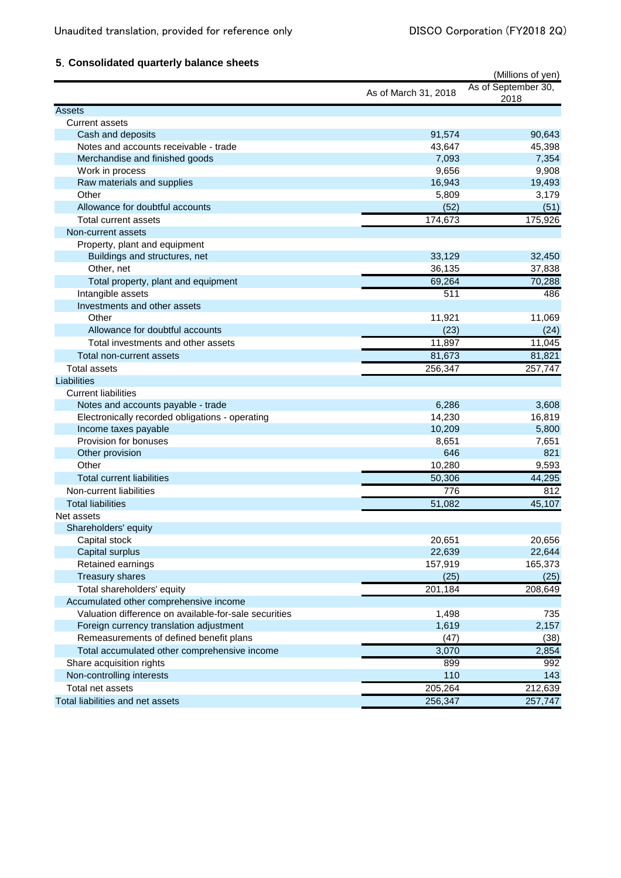# **5**.**Consolidated quarterly balance sheets**

|                                                       | (Millions of yen)    |                             |
|-------------------------------------------------------|----------------------|-----------------------------|
|                                                       | As of March 31, 2018 | As of September 30,<br>2018 |
| <b>Assets</b>                                         |                      |                             |
| <b>Current assets</b>                                 |                      |                             |
| Cash and deposits                                     | 91,574               | 90,643                      |
| Notes and accounts receivable - trade                 | 43,647               | 45,398                      |
| Merchandise and finished goods                        | 7,093                | 7,354                       |
| Work in process                                       | 9,656                | 9,908                       |
| Raw materials and supplies                            | 16,943               | 19,493                      |
| Other                                                 | 5,809                | 3,179                       |
| Allowance for doubtful accounts                       | (52)                 | (51)                        |
| Total current assets                                  | 174,673              | 175,926                     |
| Non-current assets                                    |                      |                             |
| Property, plant and equipment                         |                      |                             |
| Buildings and structures, net                         | 33,129               | 32,450                      |
| Other, net                                            | 36,135               | 37,838                      |
| Total property, plant and equipment                   | 69,264               | 70,288                      |
| Intangible assets                                     | 511                  | 486                         |
| Investments and other assets                          |                      |                             |
| Other                                                 | 11,921               | 11,069                      |
| Allowance for doubtful accounts                       | (23)                 | (24)                        |
| Total investments and other assets                    | 11,897               | 11,045                      |
| Total non-current assets                              | 81,673               | 81,821                      |
| <b>Total assets</b>                                   | 256,347              | 257,747                     |
| Liabilities                                           |                      |                             |
| <b>Current liabilities</b>                            |                      |                             |
| Notes and accounts payable - trade                    | 6,286                | 3,608                       |
| Electronically recorded obligations - operating       | 14,230               | 16,819                      |
| Income taxes payable                                  | 10,209               | 5,800                       |
| Provision for bonuses                                 | 8,651                | 7,651                       |
| Other provision                                       | 646                  | 821                         |
| Other                                                 | 10,280               | 9,593                       |
| <b>Total current liabilities</b>                      | 50,306               | 44,295                      |
| Non-current liabilities                               | 776                  | 812                         |
| <b>Total liabilities</b>                              | 51,082               | 45,107                      |
| Net assets                                            |                      |                             |
| Shareholders' equity                                  |                      |                             |
| Capital stock                                         | 20,651               | 20,656                      |
| Capital surplus                                       | 22,639               | 22,644                      |
| Retained earnings                                     | 157,919              | 165,373                     |
| <b>Treasury shares</b>                                | (25)                 | (25)                        |
| Total shareholders' equity                            | 201,184              | 208,649                     |
| Accumulated other comprehensive income                |                      |                             |
| Valuation difference on available-for-sale securities | 1,498                | 735                         |
| Foreign currency translation adjustment               | 1,619                | 2,157                       |
| Remeasurements of defined benefit plans               | (47)                 | (38)                        |
| Total accumulated other comprehensive income          | 3,070                | 2,854                       |
| Share acquisition rights                              | 899                  | 992                         |
| Non-controlling interests                             | 110                  | 143                         |
| Total net assets                                      | 205,264              | 212,639                     |
| Total liabilities and net assets                      | 256,347              | 257,747                     |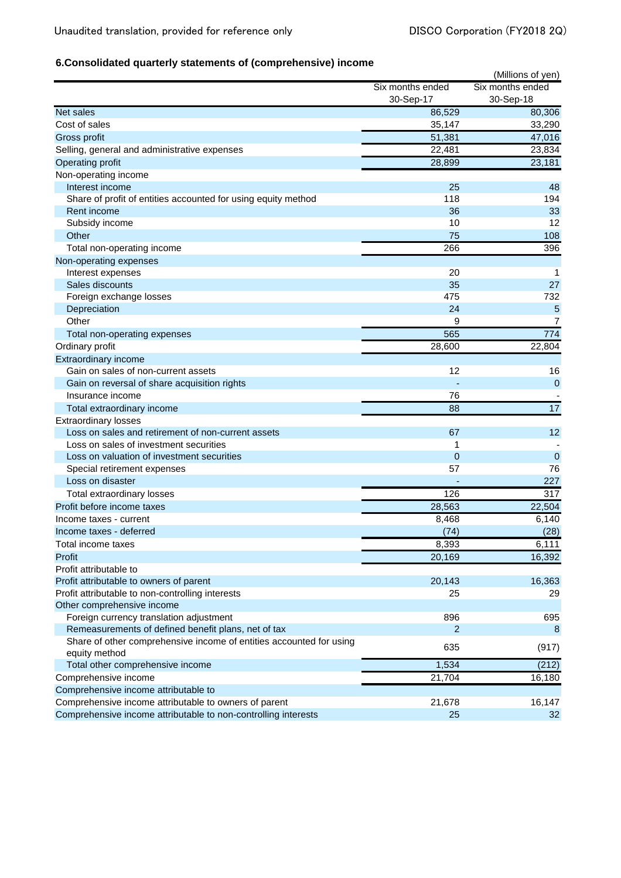## **6.Consolidated quarterly statements of (comprehensive) income**

|                                                                     |                  | (Millions of yen) |
|---------------------------------------------------------------------|------------------|-------------------|
|                                                                     | Six months ended | Six months ended  |
|                                                                     | 30-Sep-17        | 30-Sep-18         |
| Net sales                                                           | 86,529           | 80,306            |
| Cost of sales                                                       | 35,147           | 33,290            |
| Gross profit                                                        | 51,381           | 47,016            |
| Selling, general and administrative expenses                        | 22,481           | 23,834            |
| Operating profit                                                    | 28,899           | 23,181            |
| Non-operating income                                                |                  |                   |
| Interest income                                                     | 25               | 48                |
| Share of profit of entities accounted for using equity method       | 118              | 194               |
| Rent income                                                         | 36               | 33                |
| Subsidy income                                                      | 10               | 12                |
| Other                                                               | 75               | 108               |
| Total non-operating income                                          | 266              | 396               |
| Non-operating expenses                                              |                  |                   |
| Interest expenses                                                   | 20               | 1                 |
| Sales discounts                                                     | 35               | 27                |
| Foreign exchange losses                                             | 475              | 732               |
| Depreciation                                                        | 24               | 5                 |
| Other                                                               | 9                | 7                 |
| Total non-operating expenses                                        | 565              | 774               |
| Ordinary profit                                                     | 28,600           | 22,804            |
| Extraordinary income                                                |                  |                   |
| Gain on sales of non-current assets                                 | 12               | 16                |
| Gain on reversal of share acquisition rights                        |                  | $\mathbf 0$       |
| Insurance income                                                    | 76               |                   |
| Total extraordinary income                                          | 88               | $\overline{17}$   |
| <b>Extraordinary losses</b>                                         |                  |                   |
| Loss on sales and retirement of non-current assets                  | 67               | 12                |
| Loss on sales of investment securities                              | 1                |                   |
| Loss on valuation of investment securities                          | $\mathbf 0$      | $\mathbf 0$       |
| Special retirement expenses                                         | 57               | 76                |
| Loss on disaster                                                    |                  | 227               |
| Total extraordinary losses                                          | 126              | 317               |
| Profit before income taxes                                          | 28,563           | 22,504            |
| Income taxes - current                                              | 8,468            | 6,140             |
| Income taxes - deferred                                             | (74)             | (28)              |
| Total income taxes                                                  | 8,393            | 6,111             |
| Profit                                                              | 20,169           | 16,392            |
| Profit attributable to                                              |                  |                   |
| Profit attributable to owners of parent                             | 20,143           | 16,363            |
| Profit attributable to non-controlling interests                    | 25               | 29                |
| Other comprehensive income                                          |                  |                   |
| Foreign currency translation adjustment                             | 896              | 695               |
| Remeasurements of defined benefit plans, net of tax                 | $\overline{2}$   | 8                 |
| Share of other comprehensive income of entities accounted for using | 635              | (917)             |
| equity method                                                       |                  |                   |
| Total other comprehensive income                                    | 1,534            | (212)             |
| Comprehensive income                                                | 21,704           | 16,180            |
| Comprehensive income attributable to                                |                  |                   |
| Comprehensive income attributable to owners of parent               | 21,678           | 16,147            |
| Comprehensive income attributable to non-controlling interests      | 25               | 32                |